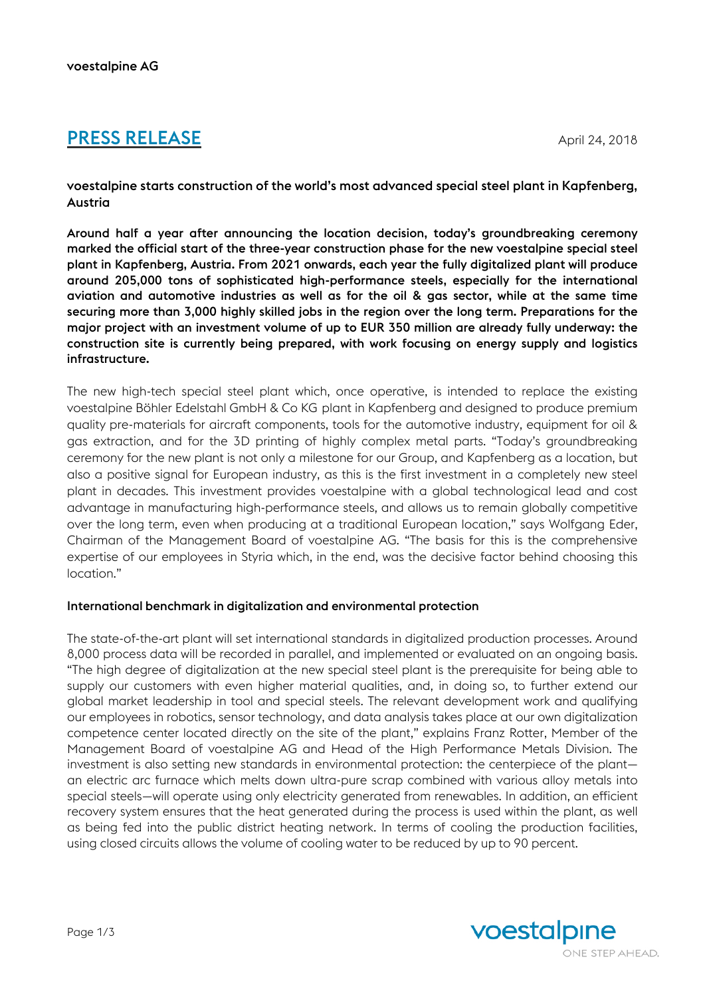# **PRESS RELEASE** April 24, 2018

voestalpine starts construction of the world's most advanced special steel plant in Kapfenberg, Austria

Around half a year after announcing the location decision, today's groundbreaking ceremony marked the official start of the three-year construction phase for the new voestalpine special steel plant in Kapfenberg, Austria. From 2021 onwards, each year the fully digitalized plant will produce around 205,000 tons of sophisticated high-performance steels, especially for the international aviation and automotive industries as well as for the oil & gas sector, while at the same time securing more than 3,000 highly skilled jobs in the region over the long term. Preparations for the major project with an investment volume of up to EUR 350 million are already fully underway: the construction site is currently being prepared, with work focusing on energy supply and logistics infrastructure.

The new high-tech special steel plant which, once operative, is intended to replace the existing voestalpine Böhler Edelstahl GmbH & Co KG plant in Kapfenberg and designed to produce premium quality pre-materials for aircraft components, tools for the automotive industry, equipment for oil & gas extraction, and for the 3D printing of highly complex metal parts. "Today's groundbreaking ceremony for the new plant is not only a milestone for our Group, and Kapfenberg as a location, but also a positive signal for European industry, as this is the first investment in a completely new steel plant in decades. This investment provides voestalpine with a global technological lead and cost advantage in manufacturing high-performance steels, and allows us to remain globally competitive over the long term, even when producing at a traditional European location," says Wolfgang Eder, Chairman of the Management Board of voestalpine AG. "The basis for this is the comprehensive expertise of our employees in Styria which, in the end, was the decisive factor behind choosing this location."

#### International benchmark in digitalization and environmental protection

The state-of-the-art plant will set international standards in digitalized production processes. Around 8,000 process data will be recorded in parallel, and implemented or evaluated on an ongoing basis. "The high degree of digitalization at the new special steel plant is the prerequisite for being able to supply our customers with even higher material qualities, and, in doing so, to further extend our global market leadership in tool and special steels. The relevant development work and qualifying our employees in robotics, sensor technology, and data analysis takes place at our own digitalization competence center located directly on the site of the plant," explains Franz Rotter, Member of the Management Board of voestalpine AG and Head of the High Performance Metals Division. The investment is also setting new standards in environmental protection: the centerpiece of the plant an electric arc furnace which melts down ultra-pure scrap combined with various alloy metals into special steels—will operate using only electricity generated from renewables. In addition, an efficient recovery system ensures that the heat generated during the process is used within the plant, as well as being fed into the public district heating network. In terms of cooling the production facilities, using closed circuits allows the volume of cooling water to be reduced by up to 90 percent.

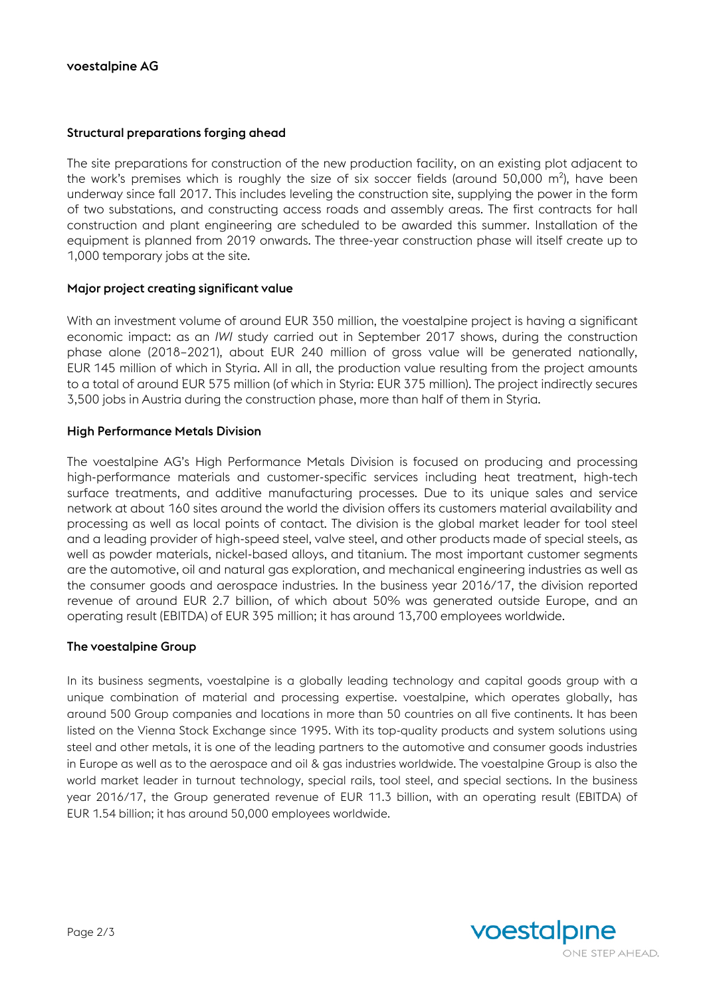## Structural preparations forging ahead

The site preparations for construction of the new production facility, on an existing plot adjacent to the work's premises which is roughly the size of six soccer fields (around 50,000 m²), have been underway since fall 2017. This includes leveling the construction site, supplying the power in the form of two substations, and constructing access roads and assembly areas. The first contracts for hall construction and plant engineering are scheduled to be awarded this summer. Installation of the equipment is planned from 2019 onwards. The three-year construction phase will itself create up to 1,000 temporary jobs at the site.

## Major project creating significant value

With an investment volume of around EUR 350 million, the voestalpine project is having a significant economic impact: as an *IWI* study carried out in September 2017 shows, during the construction phase alone (2018–2021), about EUR 240 million of gross value will be generated nationally, EUR 145 million of which in Styria. All in all, the production value resulting from the project amounts to a total of around EUR 575 million (of which in Styria: EUR 375 million). The project indirectly secures 3,500 jobs in Austria during the construction phase, more than half of them in Styria.

## High Performance Metals Division

The voestalpine AG's High Performance Metals Division is focused on producing and processing high-performance materials and customer-specific services including heat treatment, high-tech surface treatments, and additive manufacturing processes. Due to its unique sales and service network at about 160 sites around the world the division offers its customers material availability and processing as well as local points of contact. The division is the global market leader for tool steel and a leading provider of high-speed steel, valve steel, and other products made of special steels, as well as powder materials, nickel-based alloys, and titanium. The most important customer segments are the automotive, oil and natural gas exploration, and mechanical engineering industries as well as the consumer goods and aerospace industries. In the business year 2016/17, the division reported revenue of around EUR 2.7 billion, of which about 50% was generated outside Europe, and an operating result (EBITDA) of EUR 395 million; it has around 13,700 employees worldwide.

#### The voestalpine Group

In its business segments, voestalpine is a globally leading technology and capital goods group with a unique combination of material and processing expertise. voestalpine, which operates globally, has around 500 Group companies and locations in more than 50 countries on all five continents. It has been listed on the Vienna Stock Exchange since 1995. With its top-quality products and system solutions using steel and other metals, it is one of the leading partners to the automotive and consumer goods industries in Europe as well as to the aerospace and oil & gas industries worldwide. The voestalpine Group is also the world market leader in turnout technology, special rails, tool steel, and special sections. In the business year 2016/17, the Group generated revenue of EUR 11.3 billion, with an operating result (EBITDA) of EUR 1.54 billion; it has around 50,000 employees worldwide.